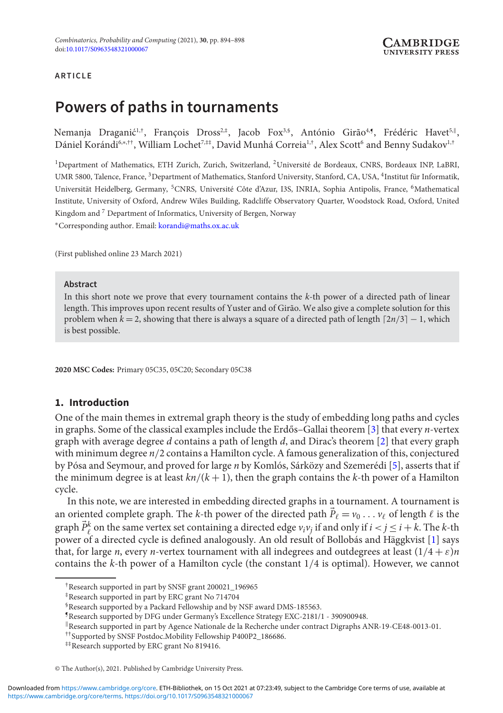### **ARTICLE**

# **Powers of paths in tournaments**

Nemanja Draganić<sup>1,†</sup>, François Dross<sup>2,‡</sup>, Jacob Fox<sup>3,§</sup>, António Girão<sup>4,</sup>¶, Frédéric Havet<sup>5,∥</sup>, Dániel Korándi<sup>6,∗,††</sup>, William Lochet<sup>7,‡‡</sup>, David Munhá Correia<sup>1,†</sup>, Alex Scott<sup>6</sup> and Benny Sudakov<sup>1,†</sup>

<sup>1</sup>Department of Mathematics, ETH Zurich, Zurich, Switzerland, <sup>2</sup>Université de Bordeaux, CNRS, Bordeaux INP, LaBRI, UMR 5800, Talence, France, <sup>3</sup>Department of Mathematics, Stanford University, Stanford, CA, USA, <sup>4</sup>Institut für Informatik, Universität Heidelberg, Germany, 5CNRS, Université Côte d'Azur, I3S, INRIA, Sophia Antipolis, France, 6Mathematical Institute, University of Oxford, Andrew Wiles Building, Radcliffe Observatory Quarter, Woodstock Road, Oxford, United Kingdom and <sup>7</sup> Department of Informatics, University of Bergen, Norway <sup>∗</sup>Corresponding author. Email: [korandi@maths.ox.ac.uk](mailto:korandi@maths.ox.ac.uk)

(First published online 23 March 2021)

#### **Abstract**

In this short note we prove that every tournament contains the *k*-th power of a directed path of linear length. This improves upon recent results of Yuster and of Girão. We also give a complete solution for this problem when  $k = 2$ , showing that there is always a square of a directed path of length  $\lceil 2n/3 \rceil - 1$ , which is best possible.

**2020 MSC Codes:** Primary 05C35, 05C20; Secondary 05C38

## **1. Introduction**

One of the main themes in extremal graph theory is the study of embedding long paths and cycles in graphs. Some of the classical examples include the Erdős–Gallai theorem [[3\]](#page-4-0) that every *n*-vertex graph with average degree *d* contains a path of length *d*, and Dirac's theorem [\[2\]](#page-4-1) that every graph with minimum degree *n*/2 contains a Hamilton cycle. A famous generalization of this, conjectured by Pósa and Seymour, and proved for large *n* by Komlós, Sárközy and Szemerédi [\[5\]](#page-4-2), asserts that if the minimum degree is at least  $kn/(k+1)$ , then the graph contains the  $k$ -th power of a Hamilton cycle.

In this note, we are interested in embedding directed graphs in a tournament. A tournament is an oriented complete graph. The *k*-th power of the directed path  $\vec{P}_\ell = v_0 \ldots v_\ell$  of length  $\ell$  is the graph  $\vec{P}_{\ell}^k$  on the same vertex set containing a directed edge  $v_i v_j$  if and only if  $i < j \leq i + k$ . The *k*-th power of a directed cycle is defined analogously. An old result of Bollobás and Häggkvist [\[1\]](#page-4-3) says that, for large *n*, every *n*-vertex tournament with all indegrees and outdegrees at least  $(1/4 + \varepsilon)n$ contains the *k*-th power of a Hamilton cycle (the constant 1/4 is optimal). However, we cannot

<sup>†</sup>Research supported in part by SNSF grant 200021\_196965

<sup>‡</sup>Research supported in part by ERC grant No 714704

<sup>§</sup>Research supported by a Packard Fellowship and by NSF award DMS-185563.

<sup>¶</sup>Research supported by DFG under Germany's Excellence Strategy EXC-2181/1 - 390900948.

<sup>-</sup>Research supported in part by Agence Nationale de la Recherche under contract Digraphs ANR-19-CE48-0013-01.

<sup>††</sup>Supported by SNSF Postdoc.Mobility Fellowship P400P2\_186686.

<sup>‡‡</sup>Research supported by ERC grant No 819416.

<sup>©</sup> The Author(s), 2021. Published by Cambridge University Press.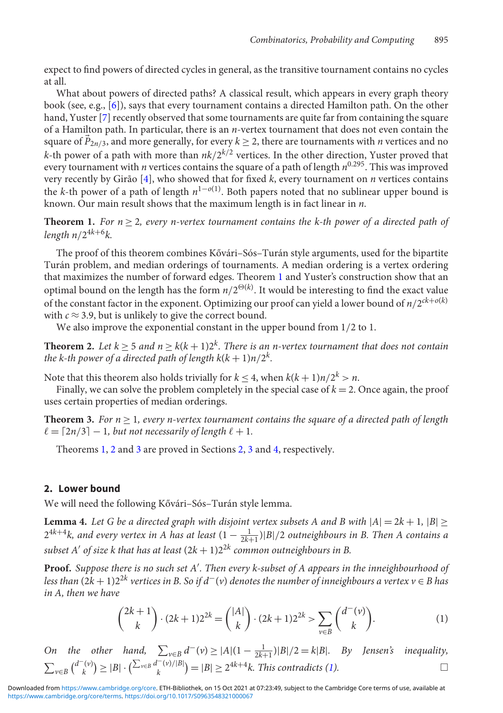expect to find powers of directed cycles in general, as the transitive tournament contains no cycles at all.

What about powers of directed paths? A classical result, which appears in every graph theory book (see, e.g., [\[6\]](#page-4-4)), says that every tournament contains a directed Hamilton path. On the other hand, Yuster [\[7\]](#page-4-5) recently observed that some tournaments are quite far from containing the square of a Hamilton path. In particular, there is an *n*-vertex tournament that does not even contain the square of  $\vec{P}_{2n/3}$ , and more generally, for every  $k \geq 2$ , there are tournaments with *n* vertices and no *k*-th power of a path with more than  $nk/2^{k/2}$  vertices. In the other direction, Yuster proved that every tournament with *n* vertices contains the square of a path of length  $n^{0.295}$ . This was improved very recently by Girão [\[4\]](#page-4-6), who showed that for fixed *k*, every tournament on *n* vertices contains the *k*-th power of a path of length  $n^{1-o(1)}$ . Both papers noted that no sublinear upper bound is known. Our main result shows that the maximum length is in fact linear in *n*.

<span id="page-1-0"></span>**Theorem 1.** *For*  $n \geq 2$ *, every n-vertex tournament contains the k-th power of a directed path of length*  $n/2^{4k+6}k$ .

The proof of this theorem combines Kővári–Sós–Turán style arguments, used for the bipartite Turán problem, and median orderings of tournaments. A median ordering is a vertex ordering that maximizes the number of forward edges. Theorem [1](#page-1-0) and Yuster's construction show that an optimal bound on the length has the form  $n/2^{\Theta(k)}$ . It would be interesting to find the exact value of the constant factor in the exponent. Optimizing our proof can yield a lower bound of  $n/2^{ck+o(k)}$ with  $c \approx 3.9$ , but is unlikely to give the correct bound.

We also improve the exponential constant in the upper bound from 1/2 to 1.

<span id="page-1-1"></span>**Theorem 2.** Let  $k > 5$  and  $n > k(k+1)2^k$ . There is an n-vertex tournament that does not contain *the k-th power of a directed path of length*  $k(k + 1)n/2^k$ *.* 

Note that this theorem also holds trivially for  $k \leq 4$ , when  $k(k+1)n/2^k > n$ .

Finally, we can solve the problem completely in the special case of  $k = 2$ . Once again, the proof uses certain properties of median orderings.

<span id="page-1-2"></span>**Theorem 3.** For  $n \geq 1$ , every n-vertex tournament contains the square of a directed path of length  $\ell = \lceil 2n/3 \rceil - 1$ , but not necessarily of length  $\ell + 1$ .

Theorems [1,](#page-1-0) [2](#page-1-1) and [3](#page-1-2) are proved in Sections [2,](#page-1-3) [3](#page-2-0) and [4,](#page-3-0) respectively.

### <span id="page-1-3"></span>**2. Lower bound**

We will need the following Kővári-Sós-Turán style lemma.

<span id="page-1-5"></span>**Lemma 4.** Let G be a directed graph with disjoint vertex subsets A and B with  $|A| = 2k + 1$ ,  $|B| \ge$  $2^{4k+4}$ *k, and every vertex in A has at least*  $(1 - \frac{1}{2k+1})|B|/2$  *outneighbours in B. Then A contains a subset A of size k that has at least* (2*k* + 1)22*<sup>k</sup> common outneighbours in B.*

**Proof.** *Suppose there is no such set A . Then every k-subset of A appears in the inneighbourhood of less than*  $(2k + 1)2^{2k}$  *vertices in B. So if d<sup>−</sup>(v) denotes the number of inneighbours a vertex v* ∈ *B* has *in A, then we have*

<span id="page-1-4"></span>
$$
\binom{2k+1}{k} \cdot (2k+1)2^{2k} = \binom{|A|}{k} \cdot (2k+1)2^{2k} > \sum_{\nu \in B} \binom{d^-(\nu)}{k}.\tag{1}
$$

*On the other hand,*  $\sum_{v \in B} d^-(v) \ge |A|(1 - \frac{1}{2k+1})|B|/2 = k|B|$ *. By Jensen's inequality,*  $\sum_{v \in B} {d^{-}(v) \choose k} \ge |B| \cdot (\sum_{v \in B} d^{-}(v)/|B|) = |B| \ge 2^{4k+4}k$ . This contradicts [\(1\)](#page-1-4).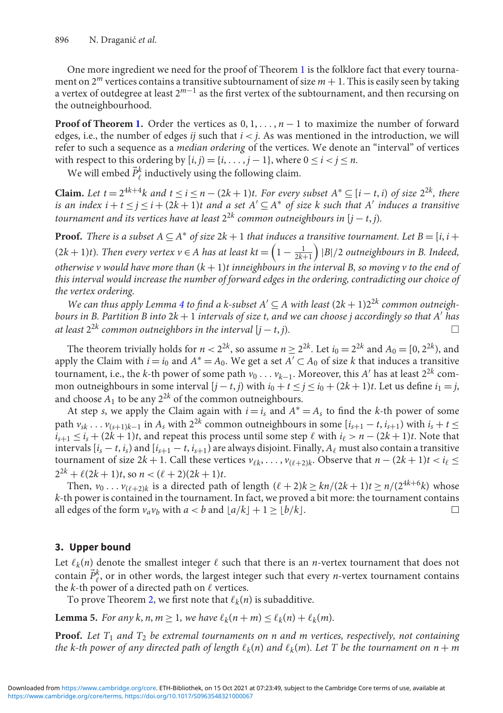One more ingredient we need for the proof of Theorem [1](#page-1-0) is the folklore fact that every tournament on  $2^m$  vertices contains a transitive subtournament of size  $m + 1$ . This is easily seen by taking a vertex of outdegree at least 2*m*−<sup>1</sup> as the first vertex of the subtournament, and then recursing on the outneighbourhood.

**Proof of Theorem [1.](#page-1-0)** Order the vertices as  $0, 1, \ldots, n-1$  to maximize the number of forward edges, i.e., the number of edges *ij* such that  $i < j$ . As was mentioned in the introduction, we will refer to such a sequence as a *median ordering* of the vertices. We denote an "interval" of vertices with respect to this ordering by  $[i, j) = \{i, \ldots, j - 1\}$ , where  $0 \le i < j \le n$ .

We will embed  $\vec{P}_{\ell}^k$  inductively using the following claim.

**Claim.** Let  $t = 2^{4k+4}k$  and  $t \le i \le n - (2k+1)t$ . For every subset  $A^* \subseteq [i-t, i]$  of size  $2^{2k}$ , there *is an index i* +  $t \le j \le i$  +  $(2k + 1)t$  and a set  $A' \subseteq A^*$  of size k such that A' induces a transitive *tournament and its vertices have at least*  $2^{2k}$  *common outneighbours in*  $[j - t, j)$ *.* 

**Proof.** *There is a subset*  $A \subseteq A^*$  *of size*  $2k + 1$  *that induces a transitive tournament. Let*  $B = [i, i +]$ (2k + 1)t). Then every vertex  $v \in A$  has at least kt  $= \left(1 - \frac{1}{2k+1}\right)$  |B|/2 outneighbours in B. Indeed, *otherwise v would have more than* (*k* + 1)*t inneighbours in the interval B, so moving v to the end of this interval would increase the number of forward edges in the ordering, contradicting our choice of the vertex ordering.*

*We can thus apply Lemma [4](#page-1-5) to find a k-subset*  $A' \subseteq A$  *with least*  $(2k + 1)2^{2k}$  *common outneighbours in B. Partition B into* 2*k* + 1 *intervals of size t, and we can choose j accordingly so that A has at least*  $2^{2k}$  *common outneighbors in the interval*  $[j - t, j)$ *.*  $\Box$ 

The theorem trivially holds for  $n < 2^{2k}$ , so assume  $n \ge 2^{2k}$ . Let  $i_0 = 2^{2k}$  and  $A_0 = [0, 2^{2k})$ , and apply the Claim with  $i = i_0$  and  $A^* = A_0$ . We get a set  $A' \subset A_0$  of size *k* that induces a transitive tournament, i.e., the *k*-th power of some path  $v_0 \ldots v_{k-1}$ . Moreover, this *A'* has at least 2<sup>2*k*</sup> common outneighbours in some interval  $[i - t, j]$  with  $i_0 + t \leq j \leq i_0 + (2k + 1)t$ . Let us define  $i_1 = j$ , and choose  $A_1$  to be any  $2^{2k}$  of the common outneighbours.

At step *s*, we apply the Claim again with  $i = i_s$  and  $A^* = A_s$  to find the *k*-th power of some path  $v_{sk}$ ...  $v_{(s+1)k-1}$  in  $A_s$  with  $2^{2k}$  common outneighbours in some  $[i_{s+1} - t, i_{s+1}]$  with  $i_s + t \leq$  $i_{s+1} \leq i_s + (2k+1)t$ , and repeat this process until some step  $\ell$  with  $i_{\ell} > n - (2k+1)t$ . Note that intervals  $[i_s - t, i_s)$  and  $[i_{s+1} - t, i_{s+1})$  are always disjoint. Finally,  $A_\ell$  must also contain a transitive tournament of size  $2k + 1$ . Call these vertices  $v_{\ell k}, \ldots, v_{(\ell+2)k}$ . Observe that  $n - (2k + 1)t < i_{\ell} \leq$  $2^{2k} + \ell(2k+1)t$ , so  $n < (\ell+2)(2k+1)t$ .

Then,  $v_0 \ldots v_{(\ell+2)k}$  is a directed path of length  $(\ell+2)k \geq kn/(2k+1)t \geq n/(2^{4k+6}k)$  whose *k*-th power is contained in the tournament. In fact, we proved a bit more: the tournament contains all edges of the form  $v_a v_b$  with  $a < b$  and  $\lfloor a/k \rfloor + 1 \geq \lfloor b/k \rfloor$ .  $\Box$ 

## <span id="page-2-0"></span>**3. Upper bound**

Let  $\ell_k(n)$  denote the smallest integer  $\ell$  such that there is an *n*-vertex tournament that does not contain  $\vec{P}_\ell^k$ , or in other words, the largest integer such that every *n*-vertex tournament contains the  $k$ -th power of a directed path on  $\ell$  vertices.

To prove Theorem [2,](#page-1-1) we first note that  $\ell_k(n)$  is subadditive.

<span id="page-2-1"></span>**Lemma 5.** For any k, n,  $m \ge 1$ , we have  $\ell_k(n+m) \le \ell_k(n) + \ell_k(m)$ .

**Proof.** *Let T*<sup>1</sup> *and T*<sup>2</sup> *be extremal tournaments on n and m vertices, respectively, not containing* the k-th power of any directed path of length  $\ell_k(n)$  and  $\ell_k(m)$ . Let T be the tournament on  $n+m$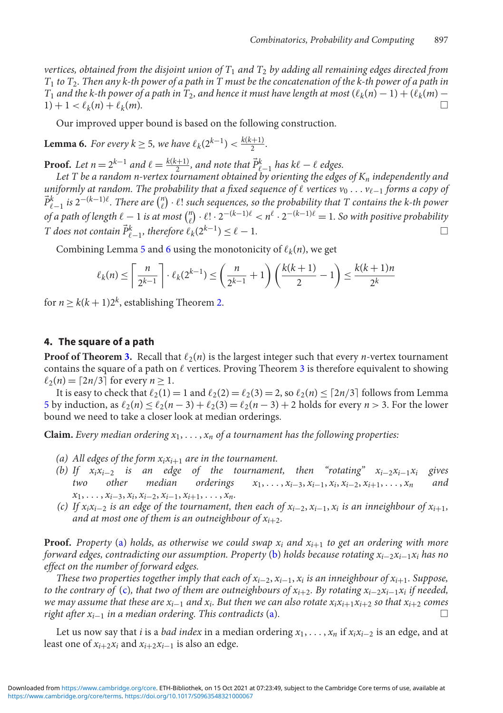*vertices, obtained from the disjoint union of T*<sup>1</sup> *and T*<sup>2</sup> *by adding all remaining edges directed from T*<sup>1</sup> *to T*2*. Then any k-th power of a path in T must be the concatenation of the k-th power of a path in T*<sub>1</sub> and the k-th power of a path in T<sub>2</sub>, and hence it must have length at most  $(\ell_k(n) - 1) + (\ell_k(m) - 1)$  $1) + 1 < \ell_k(n) + \ell$  $k(m)$ .

Our improved upper bound is based on the following construction.

<span id="page-3-1"></span>**Lemma 6.** *For every*  $k \ge 5$ *, we have*  $\ell_k(2^{k-1}) < \frac{k(k+1)}{2}$ *.* 

**Proof.** Let  $n = 2^{k-1}$  and  $\ell = \frac{k(k+1)}{2}$ , and note that  $\vec{P}_{\ell-1}^k$  has  $k\ell - \ell$  edges.

*Let T be a random n-vertex tournament obtained by orienting the edges of Kn independently and* uniformly at random. The probability that a fixed sequence of  $\ell$  vertices  $v_0 \ldots v_{\ell-1}$  forms a copy oj  $\vec{P}^k_{\ell-1}$  *is* 2<sup>−(k−1) $\ell$ . There are  $\binom{n}{\ell} \cdot \ell!$  such sequences, so the probability that T contains the k-th power</sup> *of a path of length*  $\ell - 1$  *is at most*  $\binom{n}{\ell} \cdot \ell! \cdot 2^{-(k-1)\ell} < n^{\ell} \cdot 2^{-(k-1)\ell} = 1$ . So with positive probability *T* does not contain  $\vec{P}_{\ell-1}^k$ , therefore  $\ell_k(2^{k-1}) \leq \ell - 1$ .

Combining Lemma [5](#page-2-1) and [6](#page-3-1) using the monotonicity of  $\ell_k(n)$ , we get

$$
\ell_k(n) \le \left\lceil \frac{n}{2^{k-1}} \right\rceil \cdot \ell_k(2^{k-1}) \le \left(\frac{n}{2^{k-1}} + 1\right) \left(\frac{k(k+1)}{2} - 1\right) \le \frac{k(k+1)n}{2^k}
$$

for  $n \ge k(k+1)2^k$ , establishing Theorem [2.](#page-1-1)

### <span id="page-3-0"></span>**4. The square of a path**

**Proof of Theorem [3.](#page-1-2)** Recall that  $\ell_2(n)$  is the largest integer such that every *n*-vertex tournament contains the square of a path on  $\ell$  vertices. Proving Theorem [3](#page-1-2) is therefore equivalent to showing  $\ell_2(n) = \lceil 2n/3 \rceil$  for every  $n \geq 1$ .

It is easy to check that  $\ell_2(1) = 1$  and  $\ell_2(2) = \ell_2(3) = 2$ , so  $\ell_2(n) \leq \lceil 2n/3 \rceil$  follows from Lemma [5](#page-2-1) by induction, as  $\ell_2(n) \le \ell_2(n-3) + \ell_2(3) = \ell_2(n-3) + 2$  holds for every  $n > 3$ . For the lower bound we need to take a closer look at median orderings.

<span id="page-3-2"></span>**Claim.** *Every median ordering*  $x_1, \ldots, x_n$  *of a tournament has the following properties:* 

- <span id="page-3-3"></span>*(a)* All edges of the form  $x_i x_{i+1}$  *are in the tournament.*
- *(b)* If  $x_i x_{i-2}$  *is an edge of the tournament, then "rotating"*  $x_{i-2} x_{i-1} x_i$  *gives two other median orderings*  $x_1, \ldots, x_{i-3}, x_{i-1}, x_i, x_{i-2}, x_{i+1}, \ldots, x_n$  *and two other median orderings*  $x_1, \ldots, x_{i-3}, x_{i-1}, x_i, x_{i-2}, x_{i+1}, \ldots, x_n$  and *x*1, ... , *xi*−3, *xi*, *xi*−2, *xi*−1, *xi*+1, ... , *xn.*
- <span id="page-3-4"></span>*(c) If x<sub>i</sub>x<sub>i</sub>*−2 *is an edge of the tournament, then each of*  $x_{i-2}$ *,*  $x_{i-1}$ *,*  $x_i$  *<i>is an inneighbour of*  $x_{i+1}$ *, and at most one of them is an outneighbour of*  $x_{i+2}$ *.*

**Proof.** *Property* [\(a\)](#page-3-2) *holds, as otherwise we could swap xi and xi*<sup>+</sup><sup>1</sup> *to get an ordering with more forward edges, contradicting our assumption. Property* [\(b\)](#page-3-3) *holds because rotating xi*<sup>−</sup>2*xi*<sup>−</sup>1*xi has no effect on the number of forward edges.*

*These two properties together imply that each of xi*−2, *xi*−1, *xi is an inneighbour of xi*<sup>+</sup>1*. Suppose, to the contrary of* [\(c\)](#page-3-4)*, that two of them are outneighbours of xi*<sup>+</sup>2*. By rotating xi*<sup>−</sup>2*xi*<sup>−</sup>1*xi if needed, we may assume that these are xi*<sup>−</sup><sup>1</sup> *and xi. But then we can also rotate xixi*<sup>+</sup>1*xi*<sup>+</sup><sup>2</sup> *so that xi*<sup>+</sup><sup>2</sup> *comes right after xi*<sup>−</sup><sup>1</sup> *in a median ordering. This contradicts* [\(a\)](#page-3-2)*.* -

Let us now say that *i* is a *bad index* in a median ordering  $x_1, \ldots, x_n$  if  $x_i x_{i-2}$  is an edge, and at least one of  $x_{i+2}x_i$  and  $x_{i+2}x_{i-1}$  is also an edge.